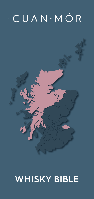# CUAN·MÓR·



# **WHISKY BIBLE**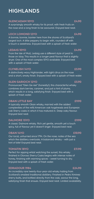# **HIGHLANDS**

### **GLENCADAM 10YO £4.90**

A surprisingly smooth whisky for its proof; with fresh fruits on the nose and a long finish to be savoured. Enjoyed best neat.

### **LOCH LOMOND 12YO £4.90**

A bonnie, bonnie, banker here from the shores of Scotland's largest loch. A little peppery to begin with, rounded off with a touch a sweetness. Enjoyed best with a splash of fresh water.

### **LEDAIG 10YO £4.90**

From the Isle of Mull, Ledaig use a different style of peat to those on Islay. This results in a longer peat flavour that is slightly dryer. One of the most complex 10YO available. Enjoyed best with a splash of fresh water.

### **CLYNELISH 14YO £5.90**

A distinctively waxy Highlander, with light citrus on the nose and a short, smoky finish. Enjoyed best with a splash of fresh water.

### **GLEN GARIOCH 12YO £5.90**

Pronounced "Glen Ge-ree" (honestly!), this characterful whisky combines dark berries, caramel, and just a hint of plums, which results in a long, satisfying finish. Enjoyed best with a splash of fresh water.

### **OBAN LITTLE BAY 49.90**

A typically smooth Oban whisky, married with the added complexities of the refill American oak hogsheads and European oak Sherry casks in which it has matured in. Deep oaky flavour. Enjoyed best neat.

### **DALMORE 15YO £9.90**

A classic Dalmore whisky. Rich yet gentle, smooth yet a touch spicy, full of flavour yet it doesn't linger. Enjoyed best neat.

### **OBAN 14YO £10.90**

Our local, unhurried since 1794. On the nose; notes of the sea which the distillery overlooks. A balanced whisky – with just a hint of bite! Enjoyed best neat.

### **TOMATIN 18YO £11.90**

Perfect for sipping whilst watching the sunset, this whisky finished in Oloroso Sherry Casks begins with intense notes of honey, finishing with warming spices – sweet turning to dry. Enjoyed best with a splash of fresh water.

### **EDRADOUR 1984 EDRADOUR 1984**

An incredibly rare twenty-four-year-old whisky hailing from Scotland's smallest traditional distillery. Finished in Pedro Ximinez sherry butts, and bottled directly from the cask, savour the long, satisfying finish that ensues. Enjoyed best neat. Limited availability.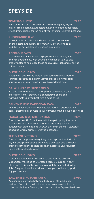# **SPEYSIDE**

### **TOMINTOUL 10YO £4.90**

Self-confessing as a "gentle dram", Tomintoul gently layers hints of crème caramel & toasted almond to create a delicately sweet dram, perfect for the end of your evening. Enjoyed best neat.

### **KNOCKANDO 12YO £4.90**

A delightfully smooth Speyside whisky, with a sweetness on the palate and a slow, spicy finish. Allow this one to sit and the flavour will flourish. Enjoyed best neat.

### **ABERLOUR 14YO £5.90**

A cornerstone of the modern Speyside style of whisky. A rich and full-bodied malt, with bountiful helpings of vanilla and creamy notes to help ease those cold & rainy Highland evenings. Enjoyed best neat.

### **GLENFIDDICH 15YO £5.90**

A staple for any worthy gantry. Light spring aromas, lead to summery citrus fruits, autumn leaves precede a winter spice finish. A true all year-round whisky. Enjoyed best neat.

### **DALWHINNIE WINTER'S GOLD £5.90**

Inspired by the Highlands' synonymous cold weather, this expression from Morayshire is an assertive, spicy, and warming malt. Enjoyed best with a cube of ice.

### **BALVENIE 14YO CARIBBEAN CASK 66.90**

An indulgent whisky from Balvenie, finished in Caribbean rum casks, adding a bit of mojo to this harmonic malt. Enjoyed best neat.

### **MACALLAN 12YO SHERRY OAK £8.90**

One of the best 12YO out there, with the spirit quality that only a name like Macallan could produce. The lightly smoked butterscotch on the palette will win over even the most steadfast of peated whisky drinkers. Enjoyed best neat.

### **THE GLENLIVET 18YO £12.90**

One that encompasses everything an exceptional malt should be, this deceptively strong dram has a complex and aromatic aroma to it that any special occasion deserves. Enjoyed best with a splash of fresh water.

### **GLENFIDDICH 18YO £12.90**

A distillery eponymous with skilful craftsmanship delivers a magnificent marriage of Olorosso Sherry & Bourbon. A zesty citrus nose satisfyingly evolving to a slightly rich, salted toffee finish. They've done the hard work, now you do the easy part. Enjoyed best neat.

### **BALVENIE 21YO PORT CASK 619.90**

An exquisite marriage between thirty-year-old port pipes and rare Balvenie liquid delivers an absolute masterclass in poise and balance. Trust us, this is an occasion. Enjoyed best neat.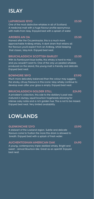# **ISLAY**

### **LAPHROAIG 10YO £5.50**

One of the most distinctive whiskies in all of Scotland. A medicinal malt with a huge flavour profile eponymous with malts from Islay. Enjoyed best with a splash of water.

### **ARDBEG AN OA £5.50**

Named after the Oa peninsular, this is a much more approachable Ardbeg whisky. A dark dram that retains all the flavours you'd expect from an Ardbeg, whilst keeping that classic, Islay kick. Enjoyed best neat.

### **BRUICHLADDICH SCOTTISH BARLEY £5.50**

With its flamboyant blue bottle, this whisky is hard to miss – and you wouldn't want to. One of the only un-peated whiskies produced on the island, this young malt is friendly and delicate. Enjoyed best neat.

### **BOWMORE 18YO £11.90**

Much more delicately balanced than the colour may suggest, the smoky, citrusy flavours in this iconic Islay whisky continue to develop even after your glass is empty. Enjoyed best neat.

### **BRUICHLADDICH GOLDER STILL E24.90**

A privateer's collection, this ode to the distillery's past was matured in dumpy, squat bourbon hogsheads allowing for intense oaky notes and a rich golden hue. This is not to be missed. Enjoyed best neat. Very limited availability.

# **LOWLANDS**

### **GLENKINCHIE 12YO £5.90**

A stalwart of the Lowland region. Subtle and delicate flavours come to fruition the more this dram is allowed to breath. Enjoyed best with a splash of fresh water.

### **AUCHENTOSHAN AMERICAN OAK £4.90**

A young, contemporary triple-distilled whisky. Bright and sweet – almost Bourbon-like. Great as an aperitif. Enjoyed best neat.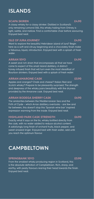# **ISLANDS**

### **SCAPA SKIREN £4.90**

A classy whisky for a classy drinker. Distilled in Scotland's only remaining Lomond Still, this whisky hailing from Orkney is light, subtle, and mellow. Find a comfortable chair before savouring. Enjoyed best neat.

### **ISLE OF JURA JOURNEY EXAMPLE 24.90**

Want to explore the beautiful Hebridean island of Jura? Begin here as a soft and citrusy beginning and a chocolatey finish make a fabulous, liquid, introduction. Enjoyed best with a splash of fresh water.

### **ARRAN 10YO £4.90**

A sweet and rich dram that encompasses all that we have come to expect of this small Island distillery. A distinct honey-infused finish that will turn even the most steadfast of Bourbon drinkers. Enjoyed best with a splash of fresh water.

### **ARRAN AMARONE CASK £5.90**

Apples and oranges? Chalk and cheese? Italian Red and Scotch whisky? Prepare to be pleasantly surprised. The strength and deepness of the whisky pairs beautifully with the dryness provided by the Amarone cask. Enjoyed best neat.

### **ARRAN BODEGA SHERRY CASK F6.90**

The similarities between the Mediterranean Sea and the Firth of Clyde – which Arran distillery overlooks – are few and far between, this doesn't stop this 'Spanish wine bar' inspired expression warming from the inside. Enjoyed best neat.

### **HIGHLAND PARK CASK STRENGTH £6.90**

Exactly what it says on the tin, whisky bottled directly from the cask, with no water added to reduce alcohol content. A satisfyingly long finish of orchard fruits, black pepper, and sweet aniseed linger. Enjoyed best with fresh water, add until you reach the optimum flavour.

# **CAMPBELTOWN**

### **SPRINGBANK 10YO £5.90**

From the smallest whisky producing region in Scotland, this is the absolute definition of Campbeltown. Rich, sharp, and earthy, with peaty flavours rearing their head towards the finish. Enjoyed best neat.